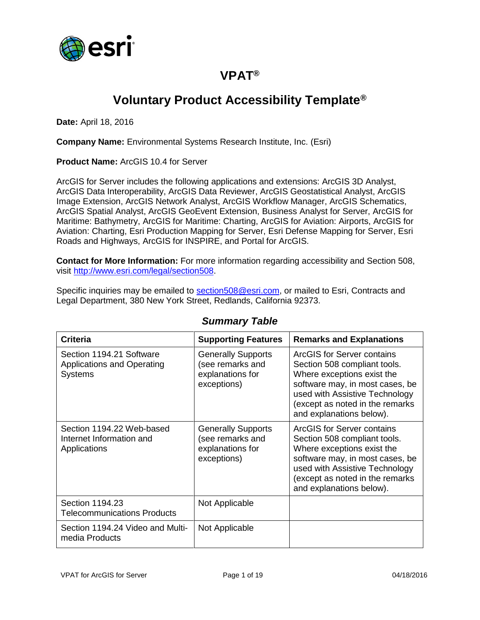

## **VPAT®**

# **Voluntary Product Accessibility Template®**

**Date:** April 18, 2016

**Company Name:** Environmental Systems Research Institute, Inc. (Esri)

**Product Name:** ArcGIS 10.4 for Server

ArcGIS for Server includes the following applications and extensions: ArcGIS 3D Analyst, ArcGIS Data Interoperability, ArcGIS Data Reviewer, ArcGIS Geostatistical Analyst, ArcGIS Image Extension, ArcGIS Network Analyst, ArcGIS Workflow Manager, ArcGIS Schematics, ArcGIS Spatial Analyst, ArcGIS GeoEvent Extension, Business Analyst for Server, ArcGIS for Maritime: Bathymetry, ArcGIS for Maritime: Charting, ArcGIS for Aviation: Airports, ArcGIS for Aviation: Charting, Esri Production Mapping for Server, Esri Defense Mapping for Server, Esri Roads and Highways, ArcGIS for INSPIRE, and Portal for ArcGIS.

**Contact for More Information:** For more information regarding accessibility and Section 508, visit [http://www.esri.com/legal/section508.](http://www.esri.com/legal/section508)

Specific inquiries may be emailed to [section508@esri.com,](mailto:section508@esri.com) or mailed to Esri, Contracts and Legal Department, 380 New York Street, Redlands, California 92373.

| <b>Criteria</b>                                                          | <b>Supporting Features</b>                                                       | <b>Remarks and Explanations</b>                                                                                                                                                                                              |
|--------------------------------------------------------------------------|----------------------------------------------------------------------------------|------------------------------------------------------------------------------------------------------------------------------------------------------------------------------------------------------------------------------|
| Section 1194.21 Software<br>Applications and Operating<br><b>Systems</b> | <b>Generally Supports</b><br>(see remarks and<br>explanations for<br>exceptions) | ArcGIS for Server contains<br>Section 508 compliant tools.<br>Where exceptions exist the<br>software may, in most cases, be<br>used with Assistive Technology<br>(except as noted in the remarks<br>and explanations below). |
| Section 1194.22 Web-based<br>Internet Information and<br>Applications    | <b>Generally Supports</b><br>(see remarks and<br>explanations for<br>exceptions) | ArcGIS for Server contains<br>Section 508 compliant tools.<br>Where exceptions exist the<br>software may, in most cases, be<br>used with Assistive Technology<br>(except as noted in the remarks<br>and explanations below). |
| Section 1194.23<br><b>Telecommunications Products</b>                    | Not Applicable                                                                   |                                                                                                                                                                                                                              |
| Section 1194.24 Video and Multi-<br>media Products                       | Not Applicable                                                                   |                                                                                                                                                                                                                              |

#### *Summary Table*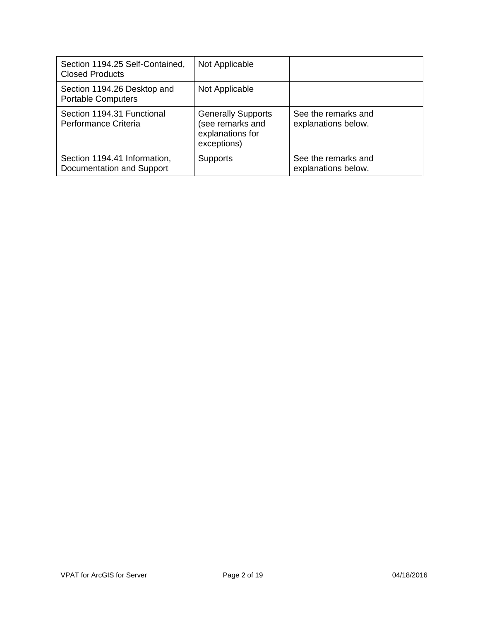| Section 1194.25 Self-Contained,<br><b>Closed Products</b> | Not Applicable                                                                   |                                            |
|-----------------------------------------------------------|----------------------------------------------------------------------------------|--------------------------------------------|
| Section 1194.26 Desktop and<br><b>Portable Computers</b>  | Not Applicable                                                                   |                                            |
| Section 1194.31 Functional<br>Performance Criteria        | <b>Generally Supports</b><br>(see remarks and<br>explanations for<br>exceptions) | See the remarks and<br>explanations below. |
| Section 1194.41 Information,<br>Documentation and Support | <b>Supports</b>                                                                  | See the remarks and<br>explanations below. |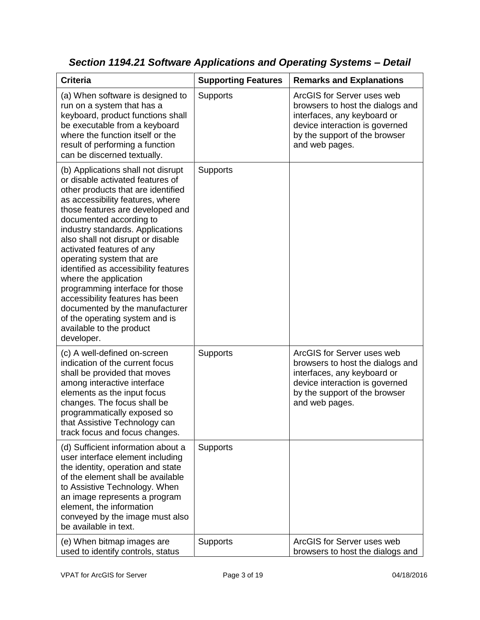| <b>Criteria</b>                                                                                                                                                                                                                                                                                                                                                                                                                                                                                                                                                                                         | <b>Supporting Features</b> | <b>Remarks and Explanations</b>                                                                                                                                                    |
|---------------------------------------------------------------------------------------------------------------------------------------------------------------------------------------------------------------------------------------------------------------------------------------------------------------------------------------------------------------------------------------------------------------------------------------------------------------------------------------------------------------------------------------------------------------------------------------------------------|----------------------------|------------------------------------------------------------------------------------------------------------------------------------------------------------------------------------|
| (a) When software is designed to<br>run on a system that has a<br>keyboard, product functions shall<br>be executable from a keyboard<br>where the function itself or the<br>result of performing a function<br>can be discerned textually.                                                                                                                                                                                                                                                                                                                                                              | Supports                   | ArcGIS for Server uses web<br>browsers to host the dialogs and<br>interfaces, any keyboard or<br>device interaction is governed<br>by the support of the browser<br>and web pages. |
| (b) Applications shall not disrupt<br>or disable activated features of<br>other products that are identified<br>as accessibility features, where<br>those features are developed and<br>documented according to<br>industry standards. Applications<br>also shall not disrupt or disable<br>activated features of any<br>operating system that are<br>identified as accessibility features<br>where the application<br>programming interface for those<br>accessibility features has been<br>documented by the manufacturer<br>of the operating system and is<br>available to the product<br>developer. | <b>Supports</b>            |                                                                                                                                                                                    |
| (c) A well-defined on-screen<br>indication of the current focus<br>shall be provided that moves<br>among interactive interface<br>elements as the input focus<br>changes. The focus shall be<br>programmatically exposed so<br>that Assistive Technology can<br>track focus and focus changes.                                                                                                                                                                                                                                                                                                          | Supports                   | ArcGIS for Server uses web<br>browsers to host the dialogs and<br>interfaces, any keyboard or<br>device interaction is governed<br>by the support of the browser<br>and web pages. |
| (d) Sufficient information about a<br>user interface element including<br>the identity, operation and state<br>of the element shall be available<br>to Assistive Technology. When<br>an image represents a program<br>element, the information<br>conveyed by the image must also<br>be available in text.                                                                                                                                                                                                                                                                                              | <b>Supports</b>            |                                                                                                                                                                                    |
| (e) When bitmap images are<br>used to identify controls, status                                                                                                                                                                                                                                                                                                                                                                                                                                                                                                                                         | Supports                   | ArcGIS for Server uses web<br>browsers to host the dialogs and                                                                                                                     |

*Section 1194.21 Software Applications and Operating Systems – Detail*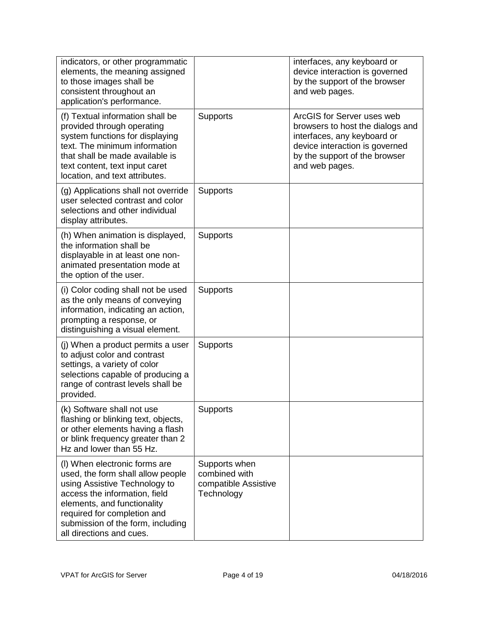| indicators, or other programmatic<br>elements, the meaning assigned<br>to those images shall be<br>consistent throughout an<br>application's performance.                                                                                                           |                                                                      | interfaces, any keyboard or<br>device interaction is governed<br>by the support of the browser<br>and web pages.                                                                   |
|---------------------------------------------------------------------------------------------------------------------------------------------------------------------------------------------------------------------------------------------------------------------|----------------------------------------------------------------------|------------------------------------------------------------------------------------------------------------------------------------------------------------------------------------|
| (f) Textual information shall be<br>provided through operating<br>system functions for displaying<br>text. The minimum information<br>that shall be made available is<br>text content, text input caret<br>location, and text attributes.                           | Supports                                                             | ArcGIS for Server uses web<br>browsers to host the dialogs and<br>interfaces, any keyboard or<br>device interaction is governed<br>by the support of the browser<br>and web pages. |
| (g) Applications shall not override<br>user selected contrast and color<br>selections and other individual<br>display attributes.                                                                                                                                   | Supports                                                             |                                                                                                                                                                                    |
| (h) When animation is displayed,<br>the information shall be<br>displayable in at least one non-<br>animated presentation mode at<br>the option of the user.                                                                                                        | <b>Supports</b>                                                      |                                                                                                                                                                                    |
| (i) Color coding shall not be used<br>as the only means of conveying<br>information, indicating an action,<br>prompting a response, or<br>distinguishing a visual element.                                                                                          | Supports                                                             |                                                                                                                                                                                    |
| (j) When a product permits a user<br>to adjust color and contrast<br>settings, a variety of color<br>selections capable of producing a<br>range of contrast levels shall be<br>provided.                                                                            | <b>Supports</b>                                                      |                                                                                                                                                                                    |
| (k) Software shall not use<br>flashing or blinking text, objects,<br>or other elements having a flash<br>or blink frequency greater than 2<br>Hz and lower than 55 Hz.                                                                                              | Supports                                                             |                                                                                                                                                                                    |
| (I) When electronic forms are<br>used, the form shall allow people<br>using Assistive Technology to<br>access the information, field<br>elements, and functionality<br>required for completion and<br>submission of the form, including<br>all directions and cues. | Supports when<br>combined with<br>compatible Assistive<br>Technology |                                                                                                                                                                                    |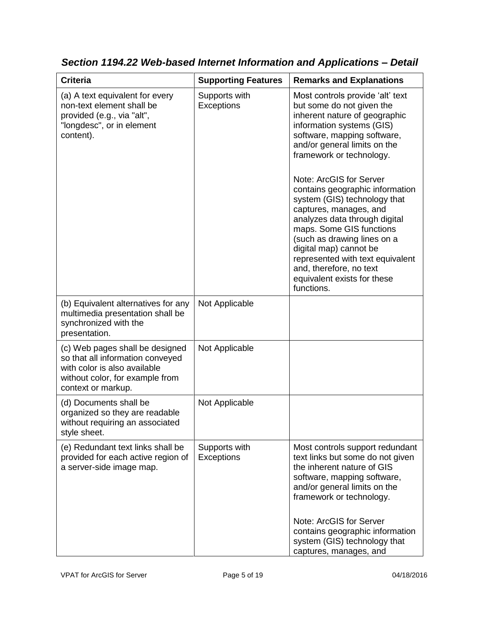| <b>Criteria</b>                                                                                                                                              | <b>Supporting Features</b>         | <b>Remarks and Explanations</b>                                                                                                                                                                                                                                                                                                                                                                                                                                                                                                                                                  |
|--------------------------------------------------------------------------------------------------------------------------------------------------------------|------------------------------------|----------------------------------------------------------------------------------------------------------------------------------------------------------------------------------------------------------------------------------------------------------------------------------------------------------------------------------------------------------------------------------------------------------------------------------------------------------------------------------------------------------------------------------------------------------------------------------|
| (a) A text equivalent for every<br>non-text element shall be<br>provided (e.g., via "alt",<br>"longdesc", or in element<br>content).                         | Supports with<br><b>Exceptions</b> | Most controls provide 'alt' text<br>but some do not given the<br>inherent nature of geographic<br>information systems (GIS)<br>software, mapping software,<br>and/or general limits on the<br>framework or technology.<br>Note: ArcGIS for Server<br>contains geographic information<br>system (GIS) technology that<br>captures, manages, and<br>analyzes data through digital<br>maps. Some GIS functions<br>(such as drawing lines on a<br>digital map) cannot be<br>represented with text equivalent<br>and, therefore, no text<br>equivalent exists for these<br>functions. |
| (b) Equivalent alternatives for any<br>multimedia presentation shall be<br>synchronized with the<br>presentation.                                            | Not Applicable                     |                                                                                                                                                                                                                                                                                                                                                                                                                                                                                                                                                                                  |
| (c) Web pages shall be designed<br>so that all information conveyed<br>with color is also available<br>without color, for example from<br>context or markup. | Not Applicable                     |                                                                                                                                                                                                                                                                                                                                                                                                                                                                                                                                                                                  |
| (d) Documents shall be<br>organized so they are readable<br>without requiring an associated<br>style sheet.                                                  | Not Applicable                     |                                                                                                                                                                                                                                                                                                                                                                                                                                                                                                                                                                                  |
| (e) Redundant text links shall be<br>provided for each active region of<br>a server-side image map.                                                          | Supports with<br>Exceptions        | Most controls support redundant<br>text links but some do not given<br>the inherent nature of GIS<br>software, mapping software,<br>and/or general limits on the<br>framework or technology.<br>Note: ArcGIS for Server<br>contains geographic information<br>system (GIS) technology that<br>captures, manages, and                                                                                                                                                                                                                                                             |

*Section 1194.22 Web-based Internet Information and Applications – Detail*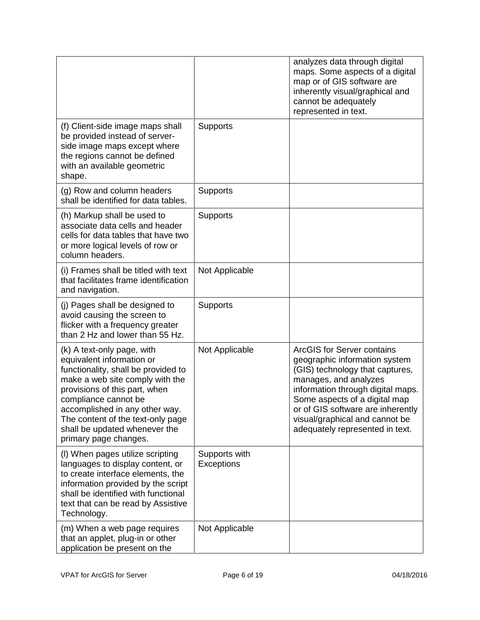|                                                                                                                                                                                                                                                                                                                             |                                    | analyzes data through digital<br>maps. Some aspects of a digital<br>map or of GIS software are<br>inherently visual/graphical and<br>cannot be adequately<br>represented in text.                                                                                                                              |
|-----------------------------------------------------------------------------------------------------------------------------------------------------------------------------------------------------------------------------------------------------------------------------------------------------------------------------|------------------------------------|----------------------------------------------------------------------------------------------------------------------------------------------------------------------------------------------------------------------------------------------------------------------------------------------------------------|
| (f) Client-side image maps shall<br>be provided instead of server-<br>side image maps except where<br>the regions cannot be defined<br>with an available geometric<br>shape.                                                                                                                                                | Supports                           |                                                                                                                                                                                                                                                                                                                |
| (g) Row and column headers<br>shall be identified for data tables.                                                                                                                                                                                                                                                          | Supports                           |                                                                                                                                                                                                                                                                                                                |
| (h) Markup shall be used to<br>associate data cells and header<br>cells for data tables that have two<br>or more logical levels of row or<br>column headers.                                                                                                                                                                | <b>Supports</b>                    |                                                                                                                                                                                                                                                                                                                |
| (i) Frames shall be titled with text<br>that facilitates frame identification<br>and navigation.                                                                                                                                                                                                                            | Not Applicable                     |                                                                                                                                                                                                                                                                                                                |
| (j) Pages shall be designed to<br>avoid causing the screen to<br>flicker with a frequency greater<br>than 2 Hz and lower than 55 Hz.                                                                                                                                                                                        | <b>Supports</b>                    |                                                                                                                                                                                                                                                                                                                |
| (k) A text-only page, with<br>equivalent information or<br>functionality, shall be provided to<br>make a web site comply with the<br>provisions of this part, when<br>compliance cannot be<br>accomplished in any other way.<br>The content of the text-only page<br>shall be updated whenever the<br>primary page changes. | Not Applicable                     | <b>ArcGIS for Server contains</b><br>geographic information system<br>(GIS) technology that captures,<br>manages, and analyzes<br>information through digital maps.<br>Some aspects of a digital map<br>or of GIS software are inherently<br>visual/graphical and cannot be<br>adequately represented in text. |
| (I) When pages utilize scripting<br>languages to display content, or<br>to create interface elements, the<br>information provided by the script<br>shall be identified with functional<br>text that can be read by Assistive<br>Technology.                                                                                 | Supports with<br><b>Exceptions</b> |                                                                                                                                                                                                                                                                                                                |
| (m) When a web page requires<br>that an applet, plug-in or other<br>application be present on the                                                                                                                                                                                                                           | Not Applicable                     |                                                                                                                                                                                                                                                                                                                |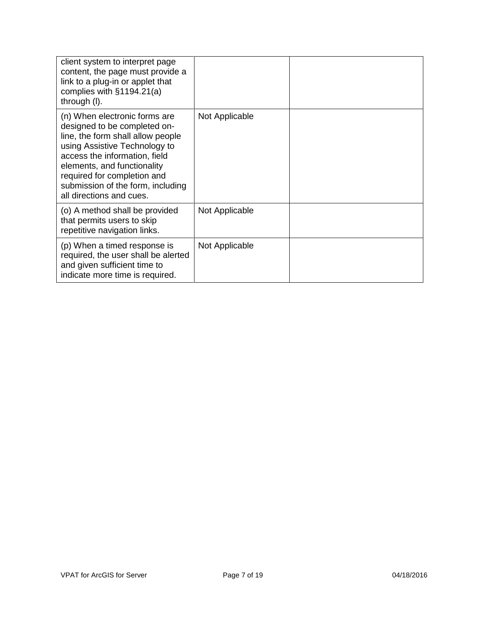| client system to interpret page<br>content, the page must provide a<br>link to a plug-in or applet that<br>complies with $§1194.21(a)$<br>through (I).                                                                                                                                              |                |  |
|-----------------------------------------------------------------------------------------------------------------------------------------------------------------------------------------------------------------------------------------------------------------------------------------------------|----------------|--|
| (n) When electronic forms are<br>designed to be completed on-<br>line, the form shall allow people<br>using Assistive Technology to<br>access the information, field<br>elements, and functionality<br>required for completion and<br>submission of the form, including<br>all directions and cues. | Not Applicable |  |
| (o) A method shall be provided<br>that permits users to skip<br>repetitive navigation links.                                                                                                                                                                                                        | Not Applicable |  |
| (p) When a timed response is<br>required, the user shall be alerted<br>and given sufficient time to<br>indicate more time is required.                                                                                                                                                              | Not Applicable |  |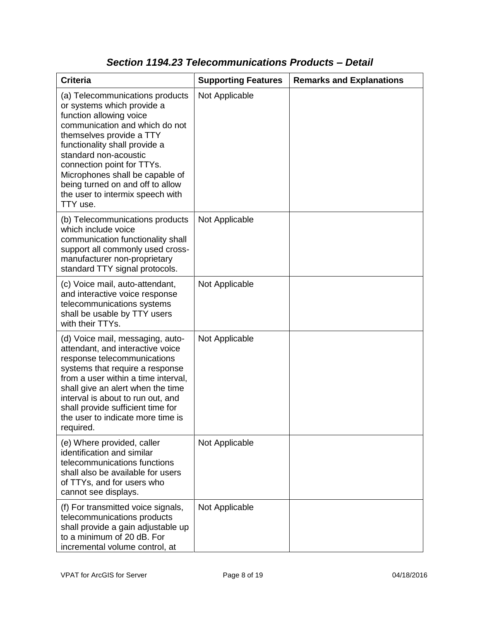| <b>Criteria</b>                                                                                                                                                                                                                                                                                                                                                       | <b>Supporting Features</b> | <b>Remarks and Explanations</b> |
|-----------------------------------------------------------------------------------------------------------------------------------------------------------------------------------------------------------------------------------------------------------------------------------------------------------------------------------------------------------------------|----------------------------|---------------------------------|
| (a) Telecommunications products<br>or systems which provide a<br>function allowing voice<br>communication and which do not<br>themselves provide a TTY<br>functionality shall provide a<br>standard non-acoustic<br>connection point for TTYs.<br>Microphones shall be capable of<br>being turned on and off to allow<br>the user to intermix speech with<br>TTY use. | Not Applicable             |                                 |
| (b) Telecommunications products<br>which include voice<br>communication functionality shall<br>support all commonly used cross-<br>manufacturer non-proprietary<br>standard TTY signal protocols.                                                                                                                                                                     | Not Applicable             |                                 |
| (c) Voice mail, auto-attendant,<br>and interactive voice response<br>telecommunications systems<br>shall be usable by TTY users<br>with their TTYs.                                                                                                                                                                                                                   | Not Applicable             |                                 |
| (d) Voice mail, messaging, auto-<br>attendant, and interactive voice<br>response telecommunications<br>systems that require a response<br>from a user within a time interval,<br>shall give an alert when the time<br>interval is about to run out, and<br>shall provide sufficient time for<br>the user to indicate more time is<br>required.                        | Not Applicable             |                                 |
| (e) Where provided, caller<br>identification and similar<br>telecommunications functions<br>shall also be available for users<br>of TTYs, and for users who<br>cannot see displays.                                                                                                                                                                                   | Not Applicable             |                                 |
| (f) For transmitted voice signals,<br>telecommunications products<br>shall provide a gain adjustable up<br>to a minimum of 20 dB. For<br>incremental volume control, at                                                                                                                                                                                               | Not Applicable             |                                 |

### *Section 1194.23 Telecommunications Products – Detail*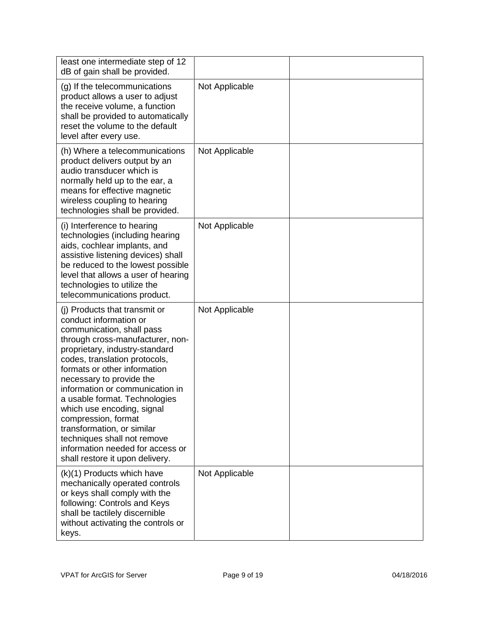| least one intermediate step of 12<br>dB of gain shall be provided.                                                                                                                                                                                                                                                                                                                                                                                                                                                   |                |  |
|----------------------------------------------------------------------------------------------------------------------------------------------------------------------------------------------------------------------------------------------------------------------------------------------------------------------------------------------------------------------------------------------------------------------------------------------------------------------------------------------------------------------|----------------|--|
| (g) If the telecommunications<br>product allows a user to adjust<br>the receive volume, a function<br>shall be provided to automatically<br>reset the volume to the default<br>level after every use.                                                                                                                                                                                                                                                                                                                | Not Applicable |  |
| (h) Where a telecommunications<br>product delivers output by an<br>audio transducer which is<br>normally held up to the ear, a<br>means for effective magnetic<br>wireless coupling to hearing<br>technologies shall be provided.                                                                                                                                                                                                                                                                                    | Not Applicable |  |
| (i) Interference to hearing<br>technologies (including hearing<br>aids, cochlear implants, and<br>assistive listening devices) shall<br>be reduced to the lowest possible<br>level that allows a user of hearing<br>technologies to utilize the<br>telecommunications product.                                                                                                                                                                                                                                       | Not Applicable |  |
| (i) Products that transmit or<br>conduct information or<br>communication, shall pass<br>through cross-manufacturer, non-<br>proprietary, industry-standard<br>codes, translation protocols,<br>formats or other information<br>necessary to provide the<br>information or communication in<br>a usable format. Technologies<br>which use encoding, signal<br>compression, format<br>transformation, or similar<br>techniques shall not remove<br>information needed for access or<br>shall restore it upon delivery. | Not Applicable |  |
| (k)(1) Products which have<br>mechanically operated controls<br>or keys shall comply with the<br>following: Controls and Keys<br>shall be tactilely discernible<br>without activating the controls or<br>keys.                                                                                                                                                                                                                                                                                                       | Not Applicable |  |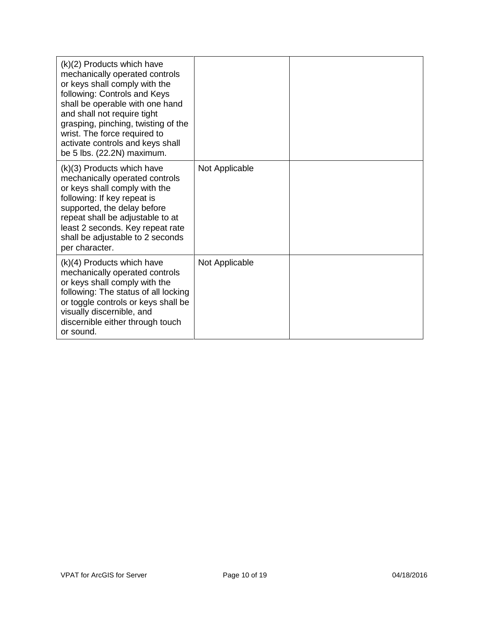| (k)(2) Products which have<br>mechanically operated controls<br>or keys shall comply with the<br>following: Controls and Keys<br>shall be operable with one hand<br>and shall not require tight<br>grasping, pinching, twisting of the<br>wrist. The force required to<br>activate controls and keys shall<br>be 5 lbs. (22.2N) maximum. |                |  |
|------------------------------------------------------------------------------------------------------------------------------------------------------------------------------------------------------------------------------------------------------------------------------------------------------------------------------------------|----------------|--|
| (k)(3) Products which have<br>mechanically operated controls<br>or keys shall comply with the<br>following: If key repeat is<br>supported, the delay before<br>repeat shall be adjustable to at<br>least 2 seconds. Key repeat rate<br>shall be adjustable to 2 seconds<br>per character.                                                | Not Applicable |  |
| (k)(4) Products which have<br>mechanically operated controls<br>or keys shall comply with the<br>following: The status of all locking<br>or toggle controls or keys shall be<br>visually discernible, and<br>discernible either through touch<br>or sound.                                                                               | Not Applicable |  |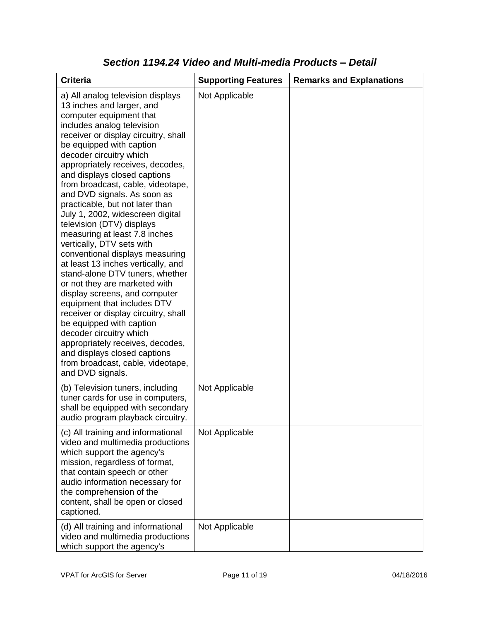| <b>Criteria</b>                                                                                                                                                                                                                                                                                                                                                                                                                                                                                                                                                                                                                                                                                                                                                                                                                                                                                                                                                           | <b>Supporting Features</b> | <b>Remarks and Explanations</b> |
|---------------------------------------------------------------------------------------------------------------------------------------------------------------------------------------------------------------------------------------------------------------------------------------------------------------------------------------------------------------------------------------------------------------------------------------------------------------------------------------------------------------------------------------------------------------------------------------------------------------------------------------------------------------------------------------------------------------------------------------------------------------------------------------------------------------------------------------------------------------------------------------------------------------------------------------------------------------------------|----------------------------|---------------------------------|
| a) All analog television displays<br>13 inches and larger, and<br>computer equipment that<br>includes analog television<br>receiver or display circuitry, shall<br>be equipped with caption<br>decoder circuitry which<br>appropriately receives, decodes,<br>and displays closed captions<br>from broadcast, cable, videotape,<br>and DVD signals. As soon as<br>practicable, but not later than<br>July 1, 2002, widescreen digital<br>television (DTV) displays<br>measuring at least 7.8 inches<br>vertically, DTV sets with<br>conventional displays measuring<br>at least 13 inches vertically, and<br>stand-alone DTV tuners, whether<br>or not they are marketed with<br>display screens, and computer<br>equipment that includes DTV<br>receiver or display circuitry, shall<br>be equipped with caption<br>decoder circuitry which<br>appropriately receives, decodes,<br>and displays closed captions<br>from broadcast, cable, videotape,<br>and DVD signals. | Not Applicable             |                                 |
| (b) Television tuners, including<br>tuner cards for use in computers,<br>shall be equipped with secondary<br>audio program playback circuitry.                                                                                                                                                                                                                                                                                                                                                                                                                                                                                                                                                                                                                                                                                                                                                                                                                            | Not Applicable             |                                 |
| (c) All training and informational<br>video and multimedia productions<br>which support the agency's<br>mission, regardless of format,<br>that contain speech or other<br>audio information necessary for<br>the comprehension of the<br>content, shall be open or closed<br>captioned.                                                                                                                                                                                                                                                                                                                                                                                                                                                                                                                                                                                                                                                                                   | Not Applicable             |                                 |
| (d) All training and informational<br>video and multimedia productions<br>which support the agency's                                                                                                                                                                                                                                                                                                                                                                                                                                                                                                                                                                                                                                                                                                                                                                                                                                                                      | Not Applicable             |                                 |

#### *Section 1194.24 Video and Multi-media Products – Detail*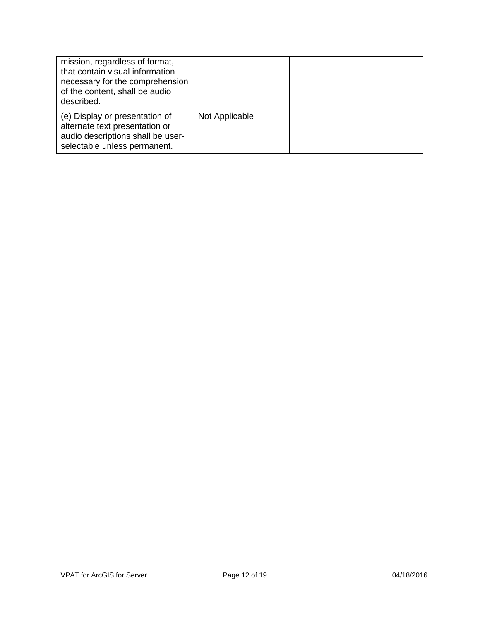| mission, regardless of format,<br>that contain visual information<br>necessary for the comprehension<br>of the content, shall be audio<br>described. |                |  |
|------------------------------------------------------------------------------------------------------------------------------------------------------|----------------|--|
| (e) Display or presentation of<br>alternate text presentation or<br>audio descriptions shall be user-<br>selectable unless permanent.                | Not Applicable |  |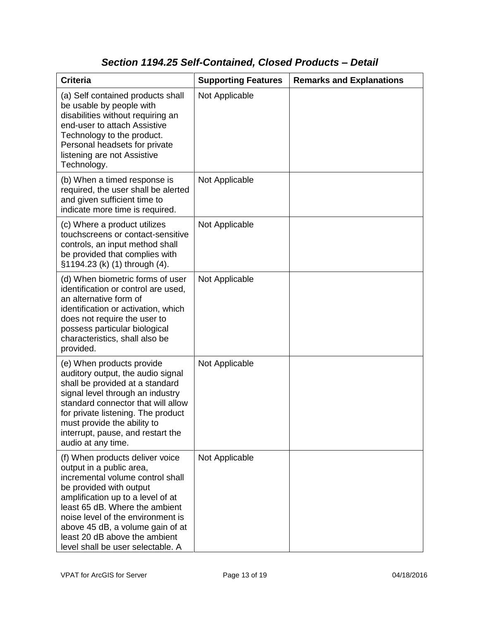### *Section 1194.25 Self-Contained, Closed Products – Detail*

| <b>Criteria</b>                                                                                                                                                                                                                                                                                                                                  | <b>Supporting Features</b> | <b>Remarks and Explanations</b> |
|--------------------------------------------------------------------------------------------------------------------------------------------------------------------------------------------------------------------------------------------------------------------------------------------------------------------------------------------------|----------------------------|---------------------------------|
| (a) Self contained products shall<br>be usable by people with<br>disabilities without requiring an<br>end-user to attach Assistive<br>Technology to the product.<br>Personal headsets for private<br>listening are not Assistive<br>Technology.                                                                                                  | Not Applicable             |                                 |
| (b) When a timed response is<br>required, the user shall be alerted<br>and given sufficient time to<br>indicate more time is required.                                                                                                                                                                                                           | Not Applicable             |                                 |
| (c) Where a product utilizes<br>touchscreens or contact-sensitive<br>controls, an input method shall<br>be provided that complies with<br>§1194.23 (k) (1) through (4).                                                                                                                                                                          | Not Applicable             |                                 |
| (d) When biometric forms of user<br>identification or control are used,<br>an alternative form of<br>identification or activation, which<br>does not require the user to<br>possess particular biological<br>characteristics, shall also be<br>provided.                                                                                         | Not Applicable             |                                 |
| (e) When products provide<br>auditory output, the audio signal<br>shall be provided at a standard<br>signal level through an industry<br>standard connector that will allow<br>for private listening. The product<br>must provide the ability to<br>interrupt, pause, and restart the<br>audio at any time.                                      | Not Applicable             |                                 |
| (f) When products deliver voice<br>output in a public area,<br>incremental volume control shall<br>be provided with output<br>amplification up to a level of at<br>least 65 dB. Where the ambient<br>noise level of the environment is<br>above 45 dB, a volume gain of at<br>least 20 dB above the ambient<br>level shall be user selectable. A | Not Applicable             |                                 |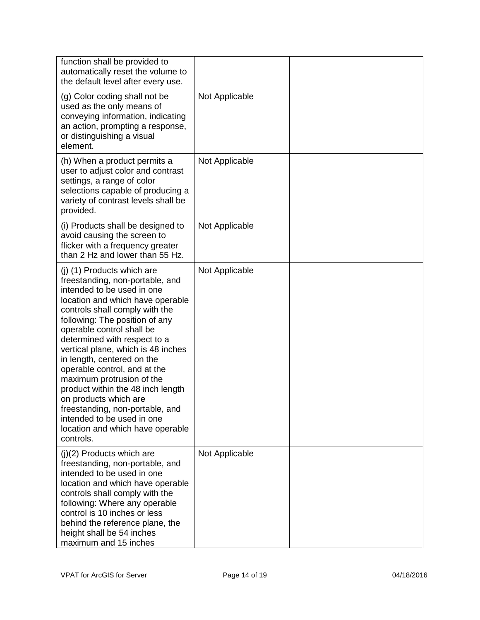| function shall be provided to<br>automatically reset the volume to<br>the default level after every use.                                                                                                                                                                                                                                                                                                                                                                                                                                                                          |                |  |
|-----------------------------------------------------------------------------------------------------------------------------------------------------------------------------------------------------------------------------------------------------------------------------------------------------------------------------------------------------------------------------------------------------------------------------------------------------------------------------------------------------------------------------------------------------------------------------------|----------------|--|
| (g) Color coding shall not be<br>used as the only means of<br>conveying information, indicating<br>an action, prompting a response,<br>or distinguishing a visual<br>element.                                                                                                                                                                                                                                                                                                                                                                                                     | Not Applicable |  |
| (h) When a product permits a<br>user to adjust color and contrast<br>settings, a range of color<br>selections capable of producing a<br>variety of contrast levels shall be<br>provided.                                                                                                                                                                                                                                                                                                                                                                                          | Not Applicable |  |
| (i) Products shall be designed to<br>avoid causing the screen to<br>flicker with a frequency greater<br>than 2 Hz and lower than 55 Hz.                                                                                                                                                                                                                                                                                                                                                                                                                                           | Not Applicable |  |
| (j) (1) Products which are<br>freestanding, non-portable, and<br>intended to be used in one<br>location and which have operable<br>controls shall comply with the<br>following: The position of any<br>operable control shall be<br>determined with respect to a<br>vertical plane, which is 48 inches<br>in length, centered on the<br>operable control, and at the<br>maximum protrusion of the<br>product within the 48 inch length<br>on products which are<br>freestanding, non-portable, and<br>intended to be used in one<br>location and which have operable<br>controls. | Not Applicable |  |
| (j)(2) Products which are<br>freestanding, non-portable, and<br>intended to be used in one<br>location and which have operable<br>controls shall comply with the<br>following: Where any operable<br>control is 10 inches or less<br>behind the reference plane, the<br>height shall be 54 inches<br>maximum and 15 inches                                                                                                                                                                                                                                                        | Not Applicable |  |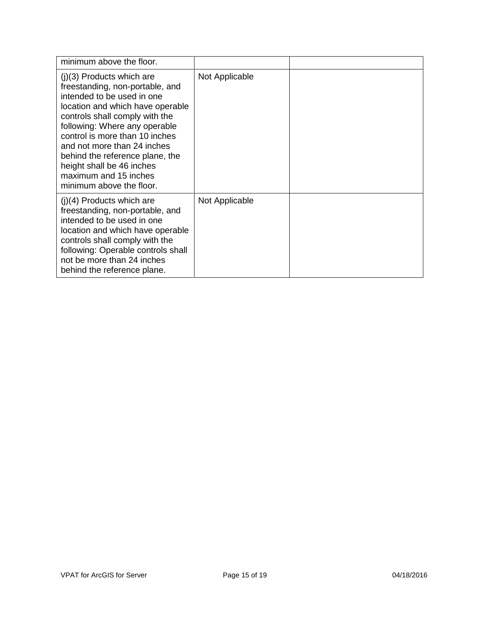| minimum above the floor.                                                                                                                                                                                                                                                                                                                                                                  |                |  |
|-------------------------------------------------------------------------------------------------------------------------------------------------------------------------------------------------------------------------------------------------------------------------------------------------------------------------------------------------------------------------------------------|----------------|--|
| $(j)(3)$ Products which are<br>freestanding, non-portable, and<br>intended to be used in one<br>location and which have operable<br>controls shall comply with the<br>following: Where any operable<br>control is more than 10 inches<br>and not more than 24 inches<br>behind the reference plane, the<br>height shall be 46 inches<br>maximum and 15 inches<br>minimum above the floor. | Not Applicable |  |
| $(i)(4)$ Products which are<br>freestanding, non-portable, and<br>intended to be used in one<br>location and which have operable<br>controls shall comply with the<br>following: Operable controls shall<br>not be more than 24 inches<br>behind the reference plane.                                                                                                                     | Not Applicable |  |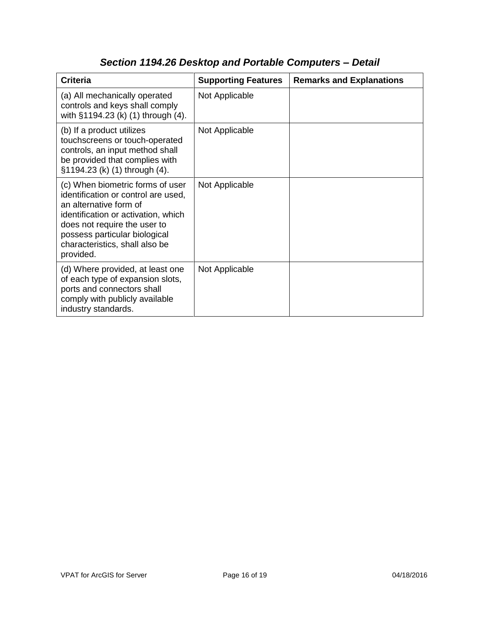| <b>Criteria</b>                                                                                                                                                                                                                                          | <b>Supporting Features</b> | <b>Remarks and Explanations</b> |
|----------------------------------------------------------------------------------------------------------------------------------------------------------------------------------------------------------------------------------------------------------|----------------------------|---------------------------------|
| (a) All mechanically operated<br>controls and keys shall comply<br>with §1194.23 (k) (1) through (4).                                                                                                                                                    | Not Applicable             |                                 |
| (b) If a product utilizes<br>touchscreens or touch-operated<br>controls, an input method shall<br>be provided that complies with<br>§1194.23 (k) (1) through (4).                                                                                        | Not Applicable             |                                 |
| (c) When biometric forms of user<br>identification or control are used,<br>an alternative form of<br>identification or activation, which<br>does not require the user to<br>possess particular biological<br>characteristics, shall also be<br>provided. | Not Applicable             |                                 |
| (d) Where provided, at least one<br>of each type of expansion slots,<br>ports and connectors shall<br>comply with publicly available<br>industry standards.                                                                                              | Not Applicable             |                                 |

# *Section 1194.26 Desktop and Portable Computers – Detail*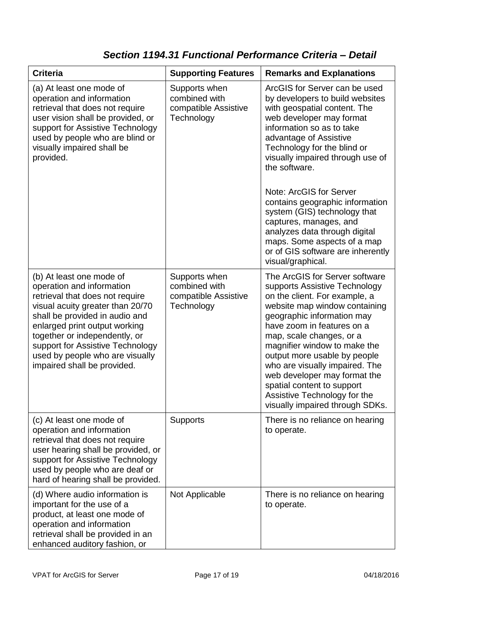### *Section 1194.31 Functional Performance Criteria – Detail*

| <b>Criteria</b>                                                                                                                                                                                                                                                                                                                        | <b>Supporting Features</b>                                           | <b>Remarks and Explanations</b>                                                                                                                                                                                                                                                                                                                                                                                                                              |
|----------------------------------------------------------------------------------------------------------------------------------------------------------------------------------------------------------------------------------------------------------------------------------------------------------------------------------------|----------------------------------------------------------------------|--------------------------------------------------------------------------------------------------------------------------------------------------------------------------------------------------------------------------------------------------------------------------------------------------------------------------------------------------------------------------------------------------------------------------------------------------------------|
| (a) At least one mode of<br>operation and information<br>retrieval that does not require<br>user vision shall be provided, or<br>support for Assistive Technology<br>used by people who are blind or<br>visually impaired shall be<br>provided.                                                                                        | Supports when<br>combined with<br>compatible Assistive<br>Technology | ArcGIS for Server can be used<br>by developers to build websites<br>with geospatial content. The<br>web developer may format<br>information so as to take<br>advantage of Assistive<br>Technology for the blind or<br>visually impaired through use of<br>the software.<br>Note: ArcGIS for Server<br>contains geographic information<br>system (GIS) technology that<br>captures, manages, and<br>analyzes data through digital                             |
|                                                                                                                                                                                                                                                                                                                                        |                                                                      | maps. Some aspects of a map<br>or of GIS software are inherently<br>visual/graphical.                                                                                                                                                                                                                                                                                                                                                                        |
| (b) At least one mode of<br>operation and information<br>retrieval that does not require<br>visual acuity greater than 20/70<br>shall be provided in audio and<br>enlarged print output working<br>together or independently, or<br>support for Assistive Technology<br>used by people who are visually<br>impaired shall be provided. | Supports when<br>combined with<br>compatible Assistive<br>Technology | The ArcGIS for Server software<br>supports Assistive Technology<br>on the client. For example, a<br>website map window containing<br>geographic information may<br>have zoom in features on a<br>map, scale changes, or a<br>magnifier window to make the<br>output more usable by people<br>who are visually impaired. The<br>web developer may format the<br>spatial content to support<br>Assistive Technology for the<br>visually impaired through SDKs. |
| (c) At least one mode of<br>operation and information<br>retrieval that does not require<br>user hearing shall be provided, or<br>support for Assistive Technology<br>used by people who are deaf or<br>hard of hearing shall be provided.                                                                                             | <b>Supports</b>                                                      | There is no reliance on hearing<br>to operate.                                                                                                                                                                                                                                                                                                                                                                                                               |
| (d) Where audio information is<br>important for the use of a<br>product, at least one mode of<br>operation and information<br>retrieval shall be provided in an<br>enhanced auditory fashion, or                                                                                                                                       | Not Applicable                                                       | There is no reliance on hearing<br>to operate.                                                                                                                                                                                                                                                                                                                                                                                                               |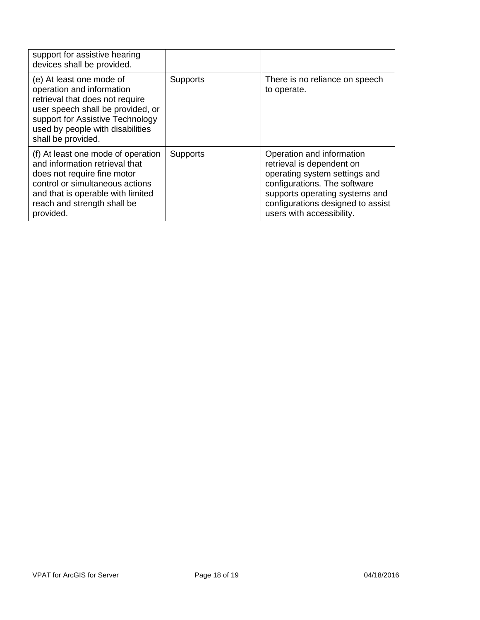| support for assistive hearing<br>devices shall be provided.                                                                                                                                                                 |                 |                                                                                                                                                                                                                             |
|-----------------------------------------------------------------------------------------------------------------------------------------------------------------------------------------------------------------------------|-----------------|-----------------------------------------------------------------------------------------------------------------------------------------------------------------------------------------------------------------------------|
| (e) At least one mode of<br>operation and information<br>retrieval that does not require<br>user speech shall be provided, or<br>support for Assistive Technology<br>used by people with disabilities<br>shall be provided. | <b>Supports</b> | There is no reliance on speech<br>to operate.                                                                                                                                                                               |
| (f) At least one mode of operation<br>and information retrieval that<br>does not require fine motor<br>control or simultaneous actions<br>and that is operable with limited<br>reach and strength shall be<br>provided.     | <b>Supports</b> | Operation and information<br>retrieval is dependent on<br>operating system settings and<br>configurations. The software<br>supports operating systems and<br>configurations designed to assist<br>users with accessibility. |